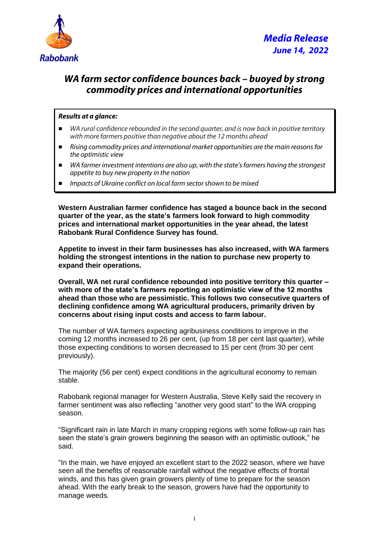

## *WA farm sector confidence bounces back – buoyed by strong commodity prices and international opportunities*

## *Results at a glance:*

- *WA rural confidence rebounded in the second quarter, and is now back in positive territory with more farmers positive than negative about the 12 months ahead*
- *Rising commodity prices and international market opportunities are the main reasons for the optimistic view*
- *WA farmer investment intentions are also up, with the state's farmers having the strongest appetite to buy new property in the nation*
- *Impacts of Ukraine conflict on local farm sector shown to be mixed*

**Western Australian farmer confidence has staged a bounce back in the second quarter of the year, as the state's farmers look forward to high commodity prices and international market opportunities in the year ahead, the latest Rabobank Rural Confidence Survey has found.** 

**Appetite to invest in their farm businesses has also increased, with WA farmers holding the strongest intentions in the nation to purchase new property to expand their operations.**

**Overall, WA net rural confidence rebounded into positive territory this quarter – with more of the state's farmers reporting an optimistic view of the 12 months ahead than those who are pessimistic. This follows two consecutive quarters of declining confidence among WA agricultural producers, primarily driven by concerns about rising input costs and access to farm labour.**

The number of WA farmers expecting agribusiness conditions to improve in the coming 12 months increased to 26 per cent, (up from 18 per cent last quarter), while those expecting conditions to worsen decreased to 15 per cent (from 30 per cent previously).

The majority (56 per cent) expect conditions in the agricultural economy to remain stable.

Rabobank regional manager for Western Australia, Steve Kelly said the recovery in farmer sentiment was also reflecting "another very good start" to the WA cropping season.

"Significant rain in late March in many cropping regions with some follow-up rain has seen the state's grain growers beginning the season with an optimistic outlook," he said.

"In the main, we have enjoyed an excellent start to the 2022 season, where we have seen all the benefits of reasonable rainfall without the negative effects of frontal winds, and this has given grain growers plenty of time to prepare for the season ahead. With the early break to the season, growers have had the opportunity to manage weeds.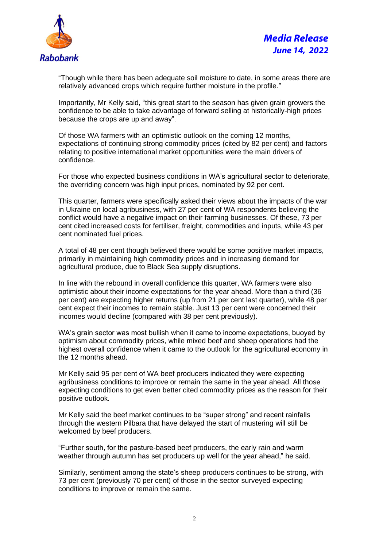

"Though while there has been adequate soil moisture to date, in some areas there are relatively advanced crops which require further moisture in the profile."

Importantly, Mr Kelly said, "this great start to the season has given grain growers the confidence to be able to take advantage of forward selling at historically-high prices because the crops are up and away".

Of those WA farmers with an optimistic outlook on the coming 12 months, expectations of continuing strong commodity prices (cited by 82 per cent) and factors relating to positive international market opportunities were the main drivers of confidence.

For those who expected business conditions in WA's agricultural sector to deteriorate, the overriding concern was high input prices, nominated by 92 per cent.

This quarter, farmers were specifically asked their views about the impacts of the war in Ukraine on local agribusiness, with 27 per cent of WA respondents believing the conflict would have a negative impact on their farming businesses. Of these, 73 per cent cited increased costs for fertiliser, freight, commodities and inputs, while 43 per cent nominated fuel prices.

A total of 48 per cent though believed there would be some positive market impacts, primarily in maintaining high commodity prices and in increasing demand for agricultural produce, due to Black Sea supply disruptions.

In line with the rebound in overall confidence this quarter, WA farmers were also optimistic about their income expectations for the year ahead. More than a third (36 per cent) are expecting higher returns (up from 21 per cent last quarter), while 48 per cent expect their incomes to remain stable. Just 13 per cent were concerned their incomes would decline (compared with 38 per cent previously).

WA's grain sector was most bullish when it came to income expectations, buoyed by optimism about commodity prices, while mixed beef and sheep operations had the highest overall confidence when it came to the outlook for the agricultural economy in the 12 months ahead.

Mr Kelly said 95 per cent of WA beef producers indicated they were expecting agribusiness conditions to improve or remain the same in the year ahead. All those expecting conditions to get even better cited commodity prices as the reason for their positive outlook.

Mr Kelly said the beef market continues to be "super strong" and recent rainfalls through the western Pilbara that have delayed the start of mustering will still be welcomed by beef producers.

"Further south, for the pasture-based beef producers, the early rain and warm weather through autumn has set producers up well for the year ahead," he said.

Similarly, sentiment among the state's sheep producers continues to be strong, with 73 per cent (previously 70 per cent) of those in the sector surveyed expecting conditions to improve or remain the same.